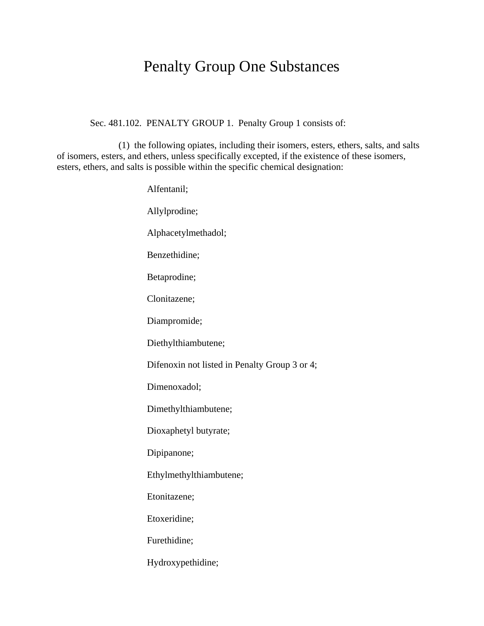## Penalty Group One Substances

Sec. 481.102. PENALTY GROUP 1. Penalty Group 1 consists of:

(1) the following opiates, including their isomers, esters, ethers, salts, and salts of isomers, esters, and ethers, unless specifically excepted, if the existence of these isomers, esters, ethers, and salts is possible within the specific chemical designation:

> Alfentanil; Allylprodine; Alphacetylmethadol; Benzethidine; Betaprodine; Clonitazene; Diampromide; Diethylthiambutene; Difenoxin not listed in Penalty Group 3 or 4; Dimenoxadol; Dimethylthiambutene; Dioxaphetyl butyrate; Dipipanone; Ethylmethylthiambutene; Etonitazene; Etoxeridine; Furethidine; Hydroxypethidine;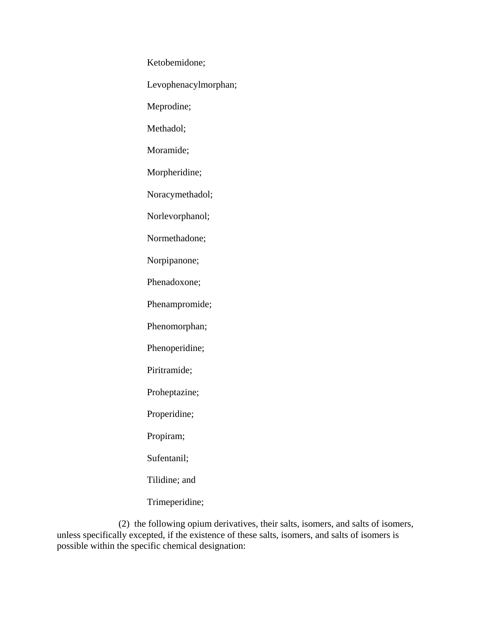Ketobemidone;

Levophenacylmorphan;

Meprodine;

Methadol;

Moramide;

Morpheridine;

Noracymethadol;

Norlevorphanol;

Normethadone;

Norpipanone;

Phenadoxone;

Phenampromide;

Phenomorphan;

Phenoperidine;

Piritramide;

Proheptazine;

Properidine;

Propiram;

Sufentanil;

Tilidine; and

Trimeperidine;

(2) the following opium derivatives, their salts, isomers, and salts of isomers, unless specifically excepted, if the existence of these salts, isomers, and salts of isomers is possible within the specific chemical designation: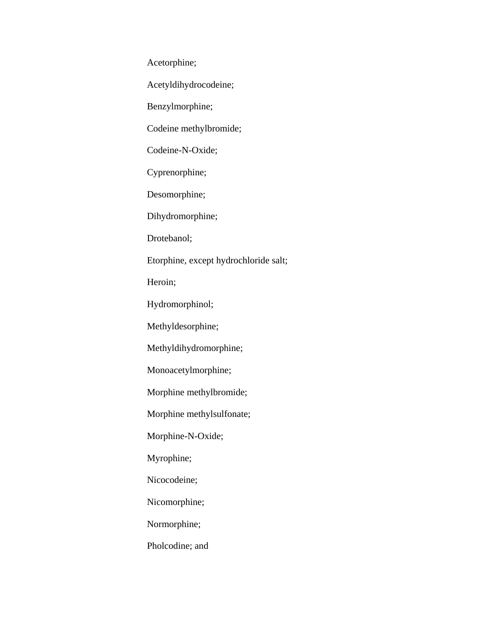Acetorphine;

Acetyldihydrocodeine;

Benzylmorphine;

Codeine methylbromide;

Codeine-N-Oxide;

Cyprenorphine;

Desomorphine;

Dihydromorphine;

Drotebanol;

Etorphine, except hydrochloride salt;

Heroin;

Hydromorphinol;

Methyldesorphine;

Methyldihydromorphine;

Monoacetylmorphine;

Morphine methylbromide;

Morphine methylsulfonate;

Morphine-N-Oxide;

Myrophine;

Nicocodeine;

Nicomorphine;

Normorphine;

Pholcodine; and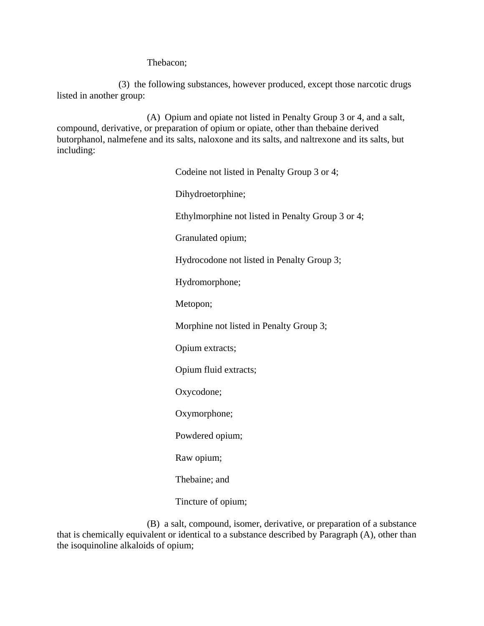Thebacon;

(3) the following substances, however produced, except those narcotic drugs listed in another group:

(A) Opium and opiate not listed in Penalty Group 3 or 4, and a salt, compound, derivative, or preparation of opium or opiate, other than thebaine derived butorphanol, nalmefene and its salts, naloxone and its salts, and naltrexone and its salts, but including:

> Codeine not listed in Penalty Group 3 or 4; Dihydroetorphine; Ethylmorphine not listed in Penalty Group 3 or 4; Granulated opium; Hydrocodone not listed in Penalty Group 3; Hydromorphone; Metopon; Morphine not listed in Penalty Group 3; Opium extracts; Opium fluid extracts; Oxycodone; Oxymorphone; Powdered opium; Raw opium; Thebaine; and Tincture of opium;

(B) a salt, compound, isomer, derivative, or preparation of a substance that is chemically equivalent or identical to a substance described by Paragraph (A), other than the isoquinoline alkaloids of opium;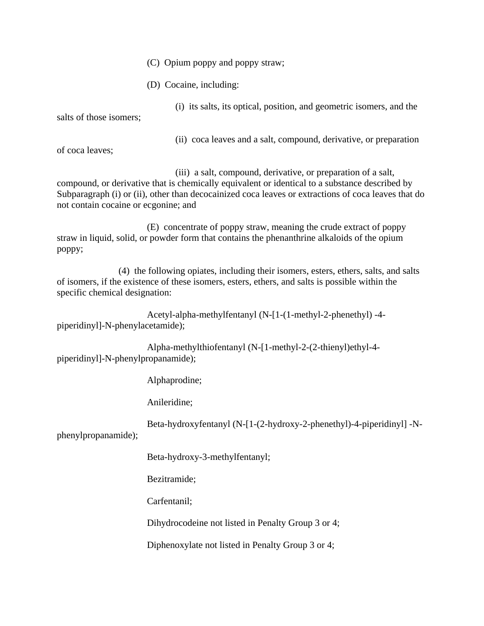- (C) Opium poppy and poppy straw;
- (D) Cocaine, including:

(i) its salts, its optical, position, and geometric isomers, and the salts of those isomers;

(ii) coca leaves and a salt, compound, derivative, or preparation

of coca leaves;

(iii) a salt, compound, derivative, or preparation of a salt, compound, or derivative that is chemically equivalent or identical to a substance described by Subparagraph (i) or (ii), other than decocainized coca leaves or extractions of coca leaves that do not contain cocaine or ecgonine; and

(E) concentrate of poppy straw, meaning the crude extract of poppy straw in liquid, solid, or powder form that contains the phenanthrine alkaloids of the opium poppy;

(4) the following opiates, including their isomers, esters, ethers, salts, and salts of isomers, if the existence of these isomers, esters, ethers, and salts is possible within the specific chemical designation:

Acetyl-alpha-methylfentanyl (N-[1-(1-methyl-2-phenethyl) -4 piperidinyl]-N-phenylacetamide);

Alpha-methylthiofentanyl (N-[1-methyl-2-(2-thienyl)ethyl-4 piperidinyl]-N-phenylpropanamide);

Alphaprodine;

Anileridine;

Beta-hydroxyfentanyl (N-[1-(2-hydroxy-2-phenethyl)-4-piperidinyl] -N-

phenylpropanamide);

Beta-hydroxy-3-methylfentanyl;

Bezitramide;

Carfentanil;

Dihydrocodeine not listed in Penalty Group 3 or 4;

Diphenoxylate not listed in Penalty Group 3 or 4;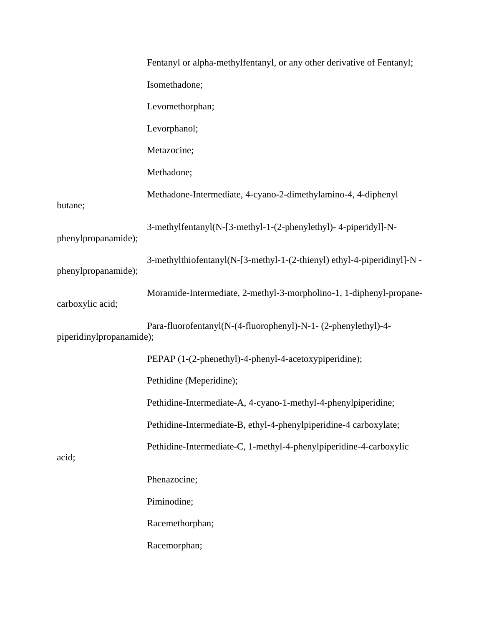|                          | Fentanyl or alpha-methylfentanyl, or any other derivative of Fentanyl;  |
|--------------------------|-------------------------------------------------------------------------|
|                          | Isomethadone;                                                           |
|                          | Levomethorphan;                                                         |
|                          | Levorphanol;                                                            |
|                          | Metazocine;                                                             |
|                          | Methadone;                                                              |
| butane;                  | Methadone-Intermediate, 4-cyano-2-dimethylamino-4, 4-diphenyl           |
| phenylpropanamide);      | 3-methylfentanyl(N-[3-methyl-1-(2-phenylethyl)-4-piperidyl]-N-          |
| phenylpropanamide);      | 3-methylthiofentanyl(N-[3-methyl-1-(2-thienyl) ethyl-4-piperidinyl]-N - |
| carboxylic acid;         | Moramide-Intermediate, 2-methyl-3-morpholino-1, 1-diphenyl-propane-     |
| piperidinylpropanamide); | Para-fluorofentanyl(N-(4-fluorophenyl)-N-1- (2-phenylethyl)-4-          |
|                          | PEPAP (1-(2-phenethyl)-4-phenyl-4-acetoxypiperidine);                   |
| acid;                    | Pethidine (Meperidine);                                                 |
|                          | Pethidine-Intermediate-A, 4-cyano-1-methyl-4-phenylpiperidine;          |
|                          | Pethidine-Intermediate-B, ethyl-4-phenylpiperidine-4 carboxylate;       |
|                          | Pethidine-Intermediate-C, 1-methyl-4-phenylpiperidine-4-carboxylic      |
|                          | Phenazocine;                                                            |
|                          | Piminodine;                                                             |
|                          | Racemethorphan;                                                         |
|                          | Racemorphan;                                                            |